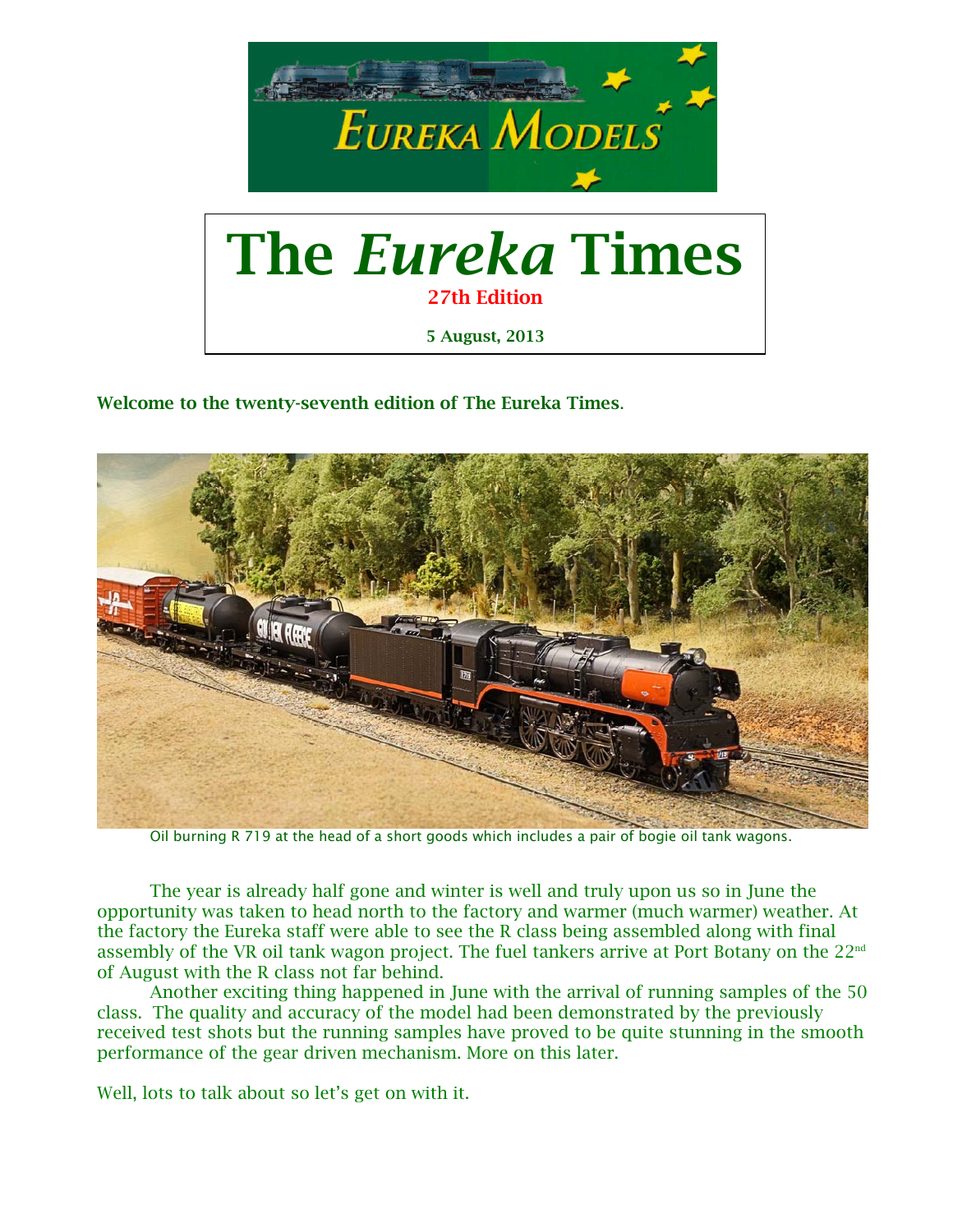

Welcome to the twenty-seventh edition of The Eureka Times.



Oil burning R 719 at the head of a short goods which includes a pair of bogie oil tank wagons.

 The year is already half gone and winter is well and truly upon us so in June the opportunity was taken to head north to the factory and warmer (much warmer) weather. At the factory the Eureka staff were able to see the R class being assembled along with final assembly of the VR oil tank wagon project. The fuel tankers arrive at Port Botany on the 22<sup>nd</sup> of August with the R class not far behind.

 Another exciting thing happened in June with the arrival of running samples of the 50 class. The quality and accuracy of the model had been demonstrated by the previously received test shots but the running samples have proved to be quite stunning in the smooth performance of the gear driven mechanism. More on this later.

Well, lots to talk about so let's get on with it.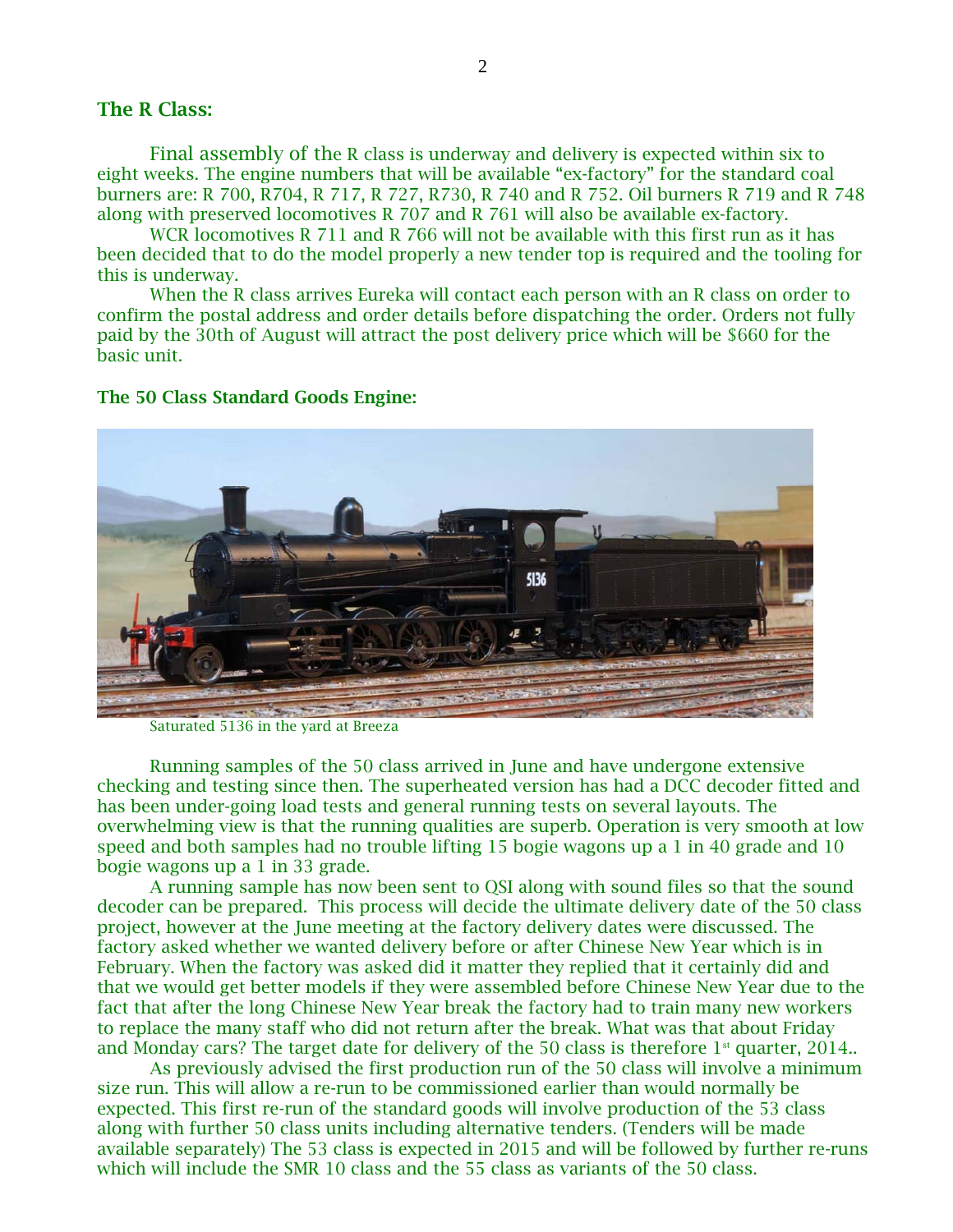### The R Class:

Final assembly of the R class is underway and delivery is expected within six to eight weeks. The engine numbers that will be available "ex-factory" for the standard coal burners are: R 700, R704, R 717, R 727, R730, R 740 and R 752. Oil burners R 719 and R 748 along with preserved locomotives R 707 and R 761 will also be available ex-factory.

 WCR locomotives R 711 and R 766 will not be available with this first run as it has been decided that to do the model properly a new tender top is required and the tooling for this is underway.

 When the R class arrives Eureka will contact each person with an R class on order to confirm the postal address and order details before dispatching the order. Orders not fully paid by the 30th of August will attract the post delivery price which will be \$660 for the basic unit.

#### The 50 Class Standard Goods Engine:



Saturated 5136 in the yard at Breeza

Running samples of the 50 class arrived in June and have undergone extensive checking and testing since then. The superheated version has had a DCC decoder fitted and has been under-going load tests and general running tests on several layouts. The overwhelming view is that the running qualities are superb. Operation is very smooth at low speed and both samples had no trouble lifting 15 bogie wagons up a 1 in 40 grade and 10 bogie wagons up a 1 in 33 grade.

 A running sample has now been sent to QSI along with sound files so that the sound decoder can be prepared. This process will decide the ultimate delivery date of the 50 class project, however at the June meeting at the factory delivery dates were discussed. The factory asked whether we wanted delivery before or after Chinese New Year which is in February. When the factory was asked did it matter they replied that it certainly did and that we would get better models if they were assembled before Chinese New Year due to the fact that after the long Chinese New Year break the factory had to train many new workers to replace the many staff who did not return after the break. What was that about Friday and Monday cars? The target date for delivery of the 50 class is therefore  $1<sup>st</sup>$  quarter, 2014..

 As previously advised the first production run of the 50 class will involve a minimum size run. This will allow a re-run to be commissioned earlier than would normally be expected. This first re-run of the standard goods will involve production of the 53 class along with further 50 class units including alternative tenders. (Tenders will be made available separately) The 53 class is expected in 2015 and will be followed by further re-runs which will include the SMR 10 class and the 55 class as variants of the 50 class.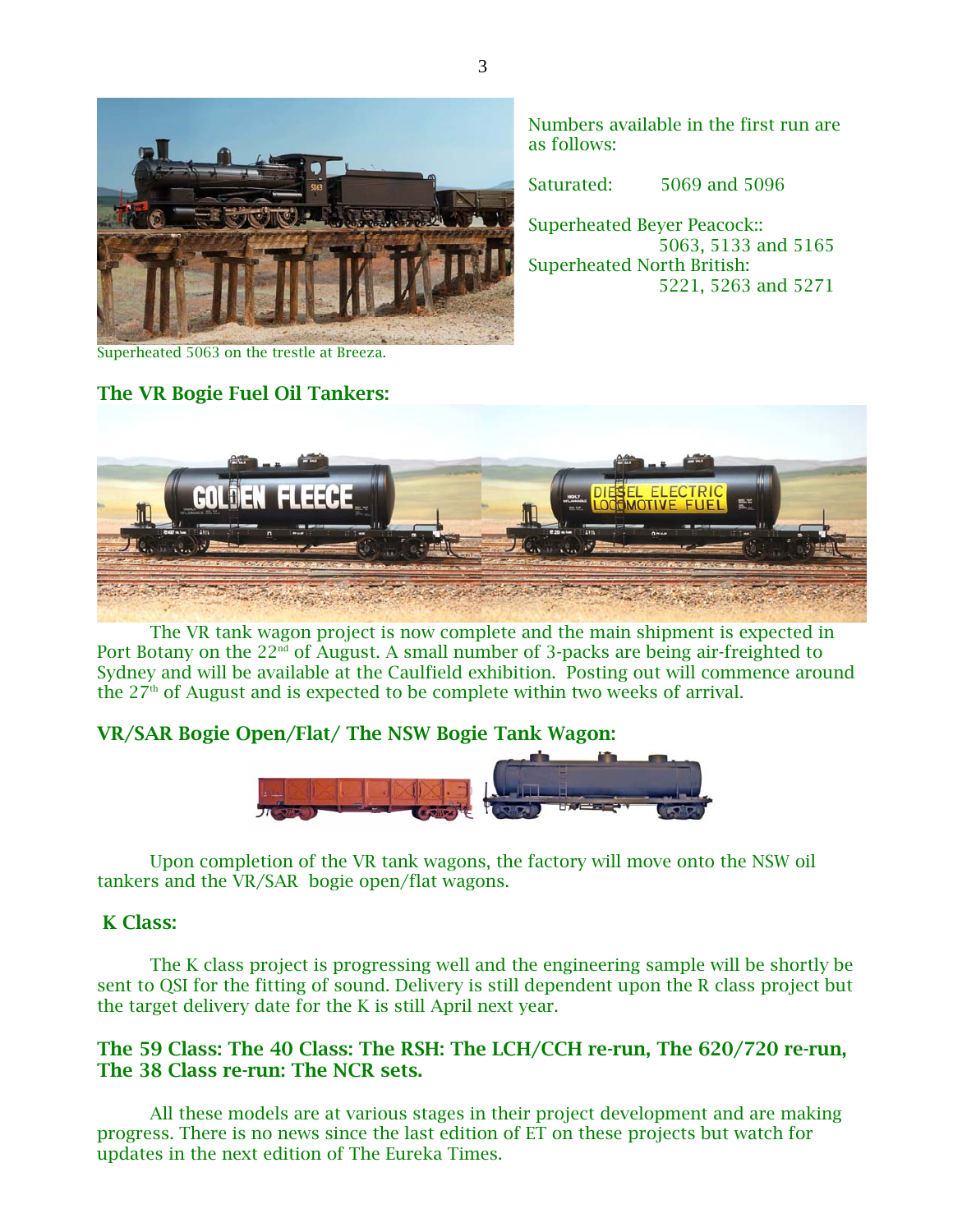

Numbers available in the first run are as follows:

Saturated: 5069 and 5096

Superheated Beyer Peacock:: 5063, 5133 and 5165 Superheated North British: 5221, 5263 and 5271

Superheated 5063 on the trestle at Breeza.

# The VR Bogie Fuel Oil Tankers:



The VR tank wagon project is now complete and the main shipment is expected in Port Botany on the 22<sup>nd</sup> of August. A small number of 3-packs are being air-freighted to Sydney and will be available at the Caulfield exhibition. Posting out will commence around the  $27<sup>th</sup>$  of August and is expected to be complete within two weeks of arrival.

# VR/SAR Bogie Open/Flat/ The NSW Bogie Tank Wagon:



Upon completion of the VR tank wagons, the factory will move onto the NSW oil tankers and the VR/SAR bogie open/flat wagons.

## K Class:

The K class project is progressing well and the engineering sample will be shortly be sent to QSI for the fitting of sound. Delivery is still dependent upon the R class project but the target delivery date for the K is still April next year.

# The 59 Class: The 40 Class: The RSH: The LCH/CCH re-run, The 620/720 re-run, The 38 Class re-run: The NCR sets.

 All these models are at various stages in their project development and are making progress. There is no news since the last edition of ET on these projects but watch for updates in the next edition of The Eureka Times.